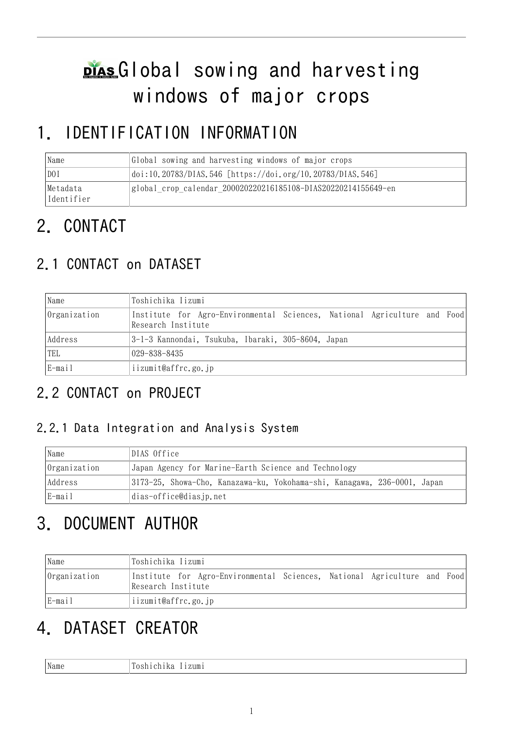# plas Global sowing and harvesting windows of major crops

# 1. IDENTIFICATION INFORMATION

| Name                   | Global sowing and harvesting windows of major crops           |
|------------------------|---------------------------------------------------------------|
| D0I                    | $ doi:10.20783/DIAS.546 [https://doi.org/10.20783/DIAS.546]$  |
| Metadata<br>Identifier | global crop calendar 200020220216185108-DIAS20220214155649-en |

# 2. CONTACT

# 2.1 CONTACT on DATASET

| Name         | Toshichika Iizumi                                                                              |  |  |  |
|--------------|------------------------------------------------------------------------------------------------|--|--|--|
| Organization | Institute for Agro-Environmental Sciences, National Agriculture and Food<br>Research Institute |  |  |  |
| Address      | 3-1-3 Kannondai, Tsukuba, Ibaraki, 305-8604, Japan                                             |  |  |  |
| TEL          | $029 - 838 - 8435$                                                                             |  |  |  |
| E-mail       | iizumit@affrc.go.jp                                                                            |  |  |  |

# 2.2 CONTACT on PROJECT

### 2.2.1 Data Integration and Analysis System

| Name         | DIAS Office                                                              |
|--------------|--------------------------------------------------------------------------|
| Organization | Japan Agency for Marine-Earth Science and Technology                     |
| Address      | 3173-25, Showa-Cho, Kanazawa-ku, Yokohama-shi, Kanagawa, 236-0001, Japan |
| E-mail       | dias-office@dias.jp.net                                                  |

# 3. DOCUMENT AUTHOR

| Name         | Toshichika Iizumi                                                                              |  |  |  |
|--------------|------------------------------------------------------------------------------------------------|--|--|--|
| Organization | Institute for Agro-Environmental Sciences, National Agriculture and Food<br>Research Institute |  |  |  |
| E-mail       | iizumit@affrc.go.jp                                                                            |  |  |  |

# 4. DATASET CREATOR

| $\sim$ $\sim$<br>маше | m<br>1m |
|-----------------------|---------|
|                       |         |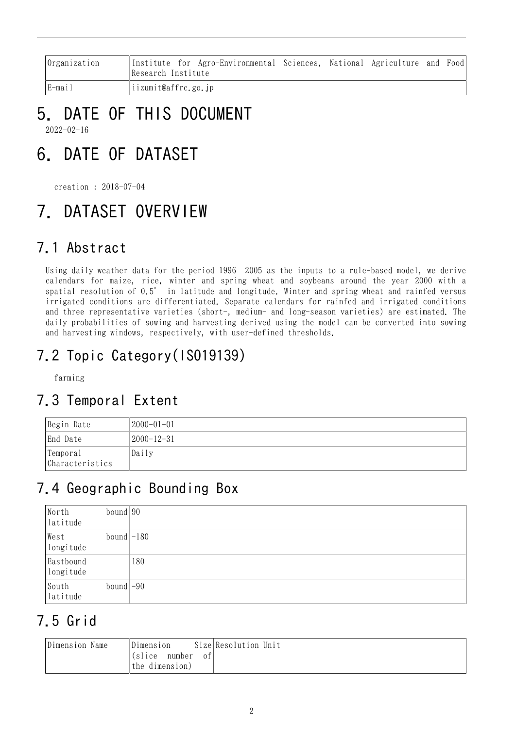| Organization | Institute for Agro-Environmental Sciences, National Agriculture and Food<br>Research Institute |  |  |  |  |  |
|--------------|------------------------------------------------------------------------------------------------|--|--|--|--|--|
| E-mail       | iizumit@affrc.go.jp                                                                            |  |  |  |  |  |

# 5. DATE OF THIS DOCUMENT

2022-02-16

# 6. DATE OF DATASET

creation : 2018-07-04

# 7. DATASET OVERVIEW

# 7.1 Abstract

Using daily weather data for the period 1996 2005 as the inputs to a rule-based model, we derive calendars for maize, rice, winter and spring wheat and soybeans around the year 2000 with a spatial resolution of 0.5° in latitude and longitude. Winter and spring wheat and rainfed versus irrigated conditions are differentiated. Separate calendars for rainfed and irrigated conditions and three representative varieties (short-, medium- and long-season varieties) are estimated. The daily probabilities of sowing and harvesting derived using the model can be converted into sowing and harvesting windows, respectively, with user-defined thresholds.

# 7.2 Topic Category(ISO19139)

farming

## 7.3 Temporal Extent

| Begin Date                  | $ 2000 - 01 - 01 $ |
|-----------------------------|--------------------|
| End Date                    | 2000-12-31         |
| Temporal<br>Characteristics | Daily              |

## 7.4 Geographic Bounding Box

| North<br>latitude      | bound $90$   |     |
|------------------------|--------------|-----|
| West<br>longitude      | bound $-180$ |     |
| Eastbound<br>longitude |              | 180 |
| South<br>latitude      | bound $-90$  |     |

# 7.5 Grid

| Dimension Name | Dimension<br>(slice number<br>0f | Size Resolution Unit |
|----------------|----------------------------------|----------------------|
|                | the dimension)                   |                      |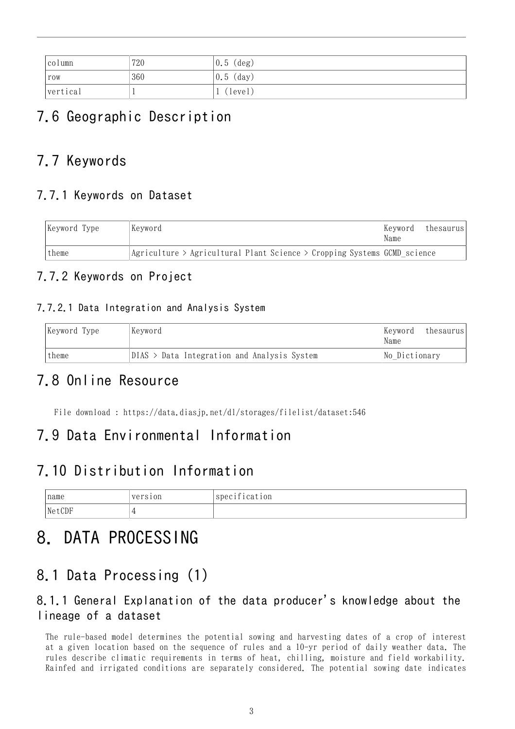| column   | 720 | $\vert 0.5 \rangle$ (deg) |
|----------|-----|---------------------------|
| row      | 360 | $\vert 0.5 \rangle$ (day) |
| vertical |     | (level)                   |

# 7.6 Geographic Description

## 7.7 Keywords

### 7.7.1 Keywords on Dataset

| Keyword Type | Keyword<br>Keyword<br>Name                                                             |  | thesaurus |
|--------------|----------------------------------------------------------------------------------------|--|-----------|
| theme        | $ Agriculture \rangle$ Agricultural Plant Science $\geq$ Cropping Systems GCMD science |  |           |

### 7.7.2 Keywords on Project

#### 7.7.2.1 Data Integration and Analysis System

| Keyword Type | Keyword | Kevword <br>Name                              |               | thesaurus |
|--------------|---------|-----------------------------------------------|---------------|-----------|
| theme        |         | $DIAS$ > Data Integration and Analysis System | No Dictionary |           |

### 7.8 Online Resource

File download : <https://data.diasjp.net/dl/storages/filelist/dataset:546>

### 7.9 Data Environmental Information

### 7.10 Distribution Information

| name   | version<br>$- - - - -$ | $\sim$ $\cdot$<br>Spec1<br>10n<br>1 cat<br>------- |
|--------|------------------------|----------------------------------------------------|
| NetCDF |                        |                                                    |

# 8. DATA PROCESSING

## 8.1 Data Processing (1)

### 8.1.1 General Explanation of the data producer's knowledge about the lineage of a dataset

The rule-based model determines the potential sowing and harvesting dates of a crop of interest at a given location based on the sequence of rules and a 10-yr period of daily weather data. The rules describe climatic requirements in terms of heat, chilling, moisture and field workability. Rainfed and irrigated conditions are separately considered. The potential sowing date indicates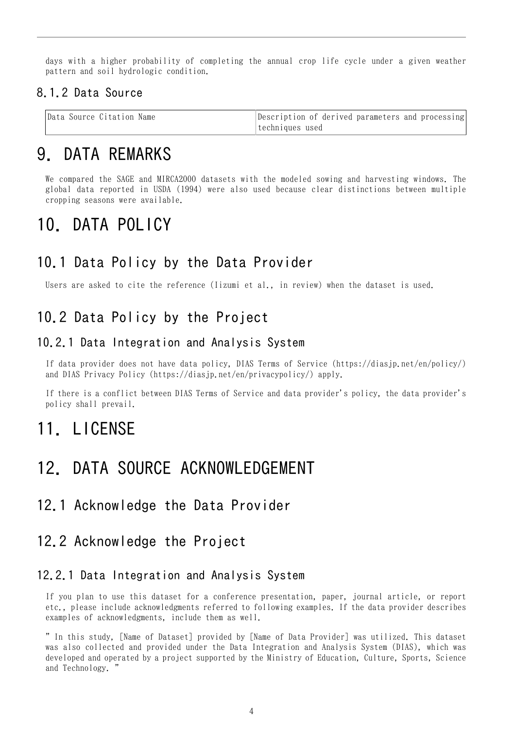days with a higher probability of completing the annual crop life cycle under a given weather pattern and soil hydrologic condition.

#### 8.1.2 Data Source

| Data Source Citation Name | Description of derived parameters and processing |
|---------------------------|--------------------------------------------------|
|                           | techniques used                                  |

## 9. DATA REMARKS

We compared the SAGE and MIRCA2000 datasets with the modeled sowing and harvesting windows. The global data reported in USDA (1994) were also used because clear distinctions between multiple cropping seasons were available.

# 10. DATA POLICY

### 10.1 Data Policy by the Data Provider

Users are asked to cite the reference (Iizumi et al., in review) when the dataset is used.

### 10.2 Data Policy by the Project

#### 10.2.1 Data Integration and Analysis System

If data provider does not have data policy, DIAS Terms of Service (https://diasjp.net/en/policy/) and DIAS Privacy Policy (https://diasjp.net/en/privacypolicy/) apply.

If there is a conflict between DIAS Terms of Service and data provider's policy, the data provider's policy shall prevail.

## 11. LICENSE

## 12. DATA SOURCE ACKNOWLEDGEMENT

#### 12.1 Acknowledge the Data Provider

#### 12.2 Acknowledge the Project

#### 12.2.1 Data Integration and Analysis System

If you plan to use this dataset for a conference presentation, paper, journal article, or report etc., please include acknowledgments referred to following examples. If the data provider describes examples of acknowledgments, include them as well.

" In this study, [Name of Dataset] provided by [Name of Data Provider] was utilized. This dataset was also collected and provided under the Data Integration and Analysis System (DIAS), which was developed and operated by a project supported by the Ministry of Education, Culture, Sports, Science and Technology. "